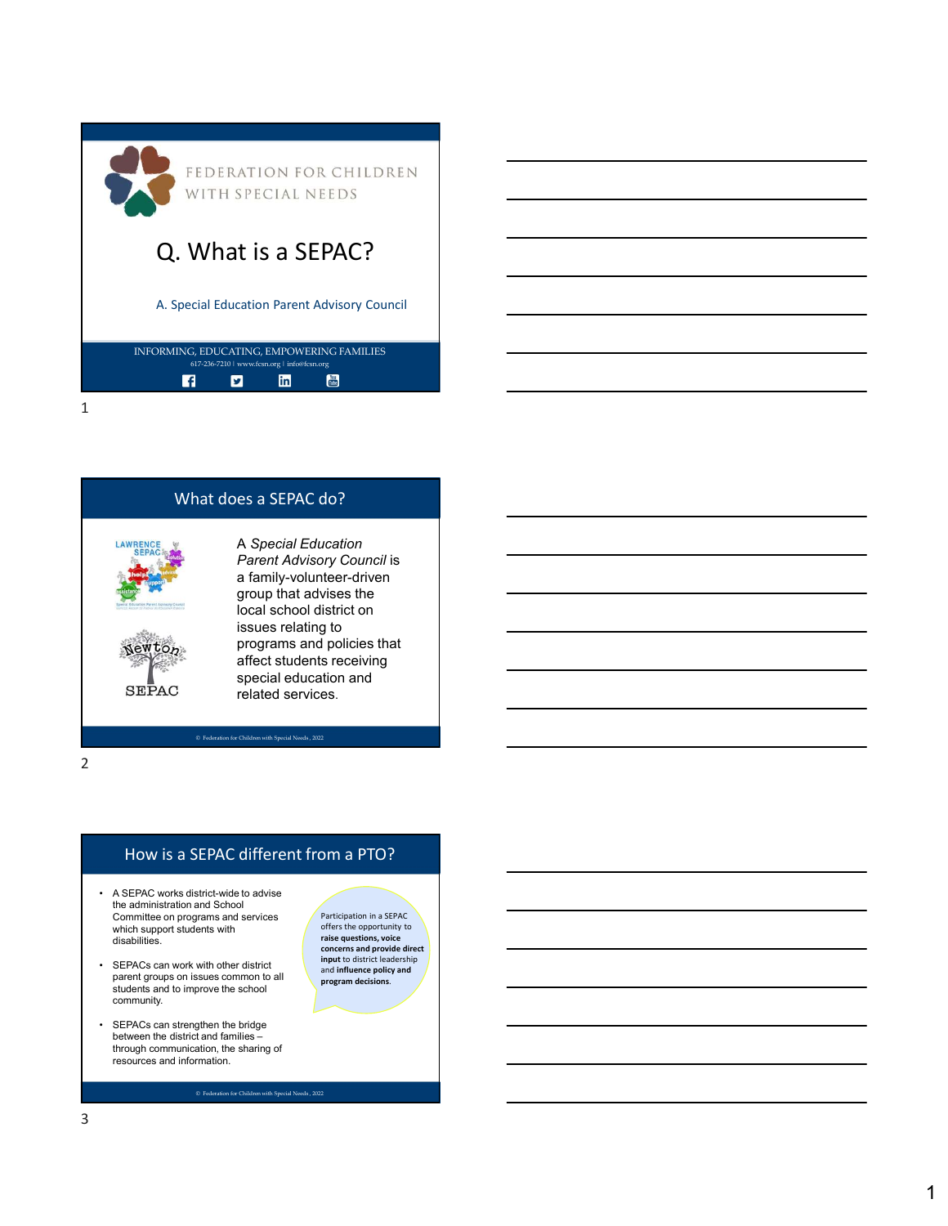| FEDERATION FOR CHILDREN<br>WITH SPECIAL NEEDS                                                                             |  |
|---------------------------------------------------------------------------------------------------------------------------|--|
| Q. What is a SEPAC?                                                                                                       |  |
| A. Special Education Parent Advisory Council                                                                              |  |
| INFORMING, EDUCATING, EMPOWERING FAMILIES<br>617-236-7210   www.fcsn.org   info@fcsn.org<br>Total<br>linl<br>$\mathbf{f}$ |  |
| ⊿                                                                                                                         |  |



# How is a SEPAC different from a PTO?

- the administration and School Committee on programs and services which support students with disabilities.
- parent groups on issues common to all students and to improve the school community.
- between the district and families through communication, the sharing of<br>resources and information.

Participation in a SEPAC offers the opportunity to raise questions, voice concerns and provide direct input to district leadership and influence policy and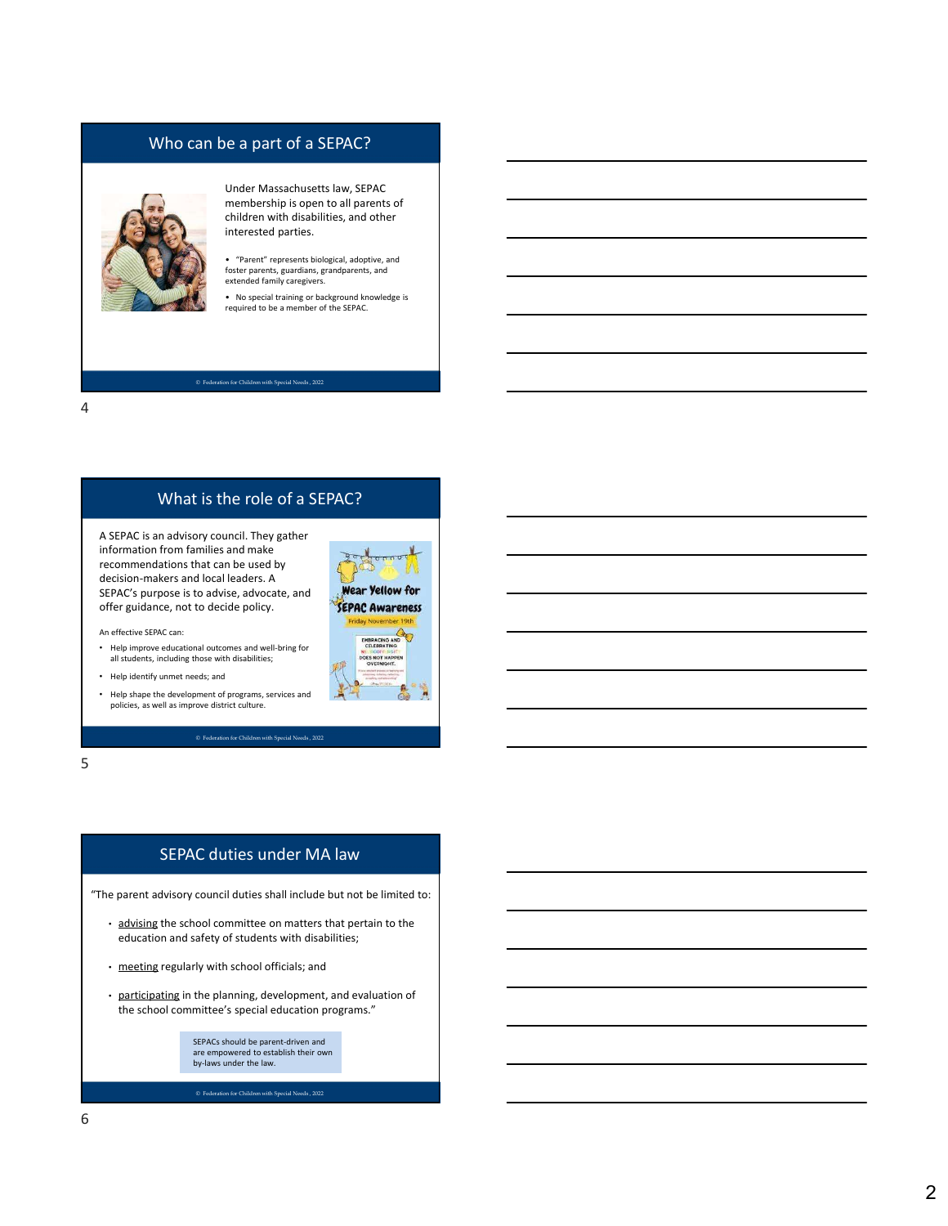# Who can be a part of a SEPAC?



Under Massachusetts law, SEPAC membership is open to all parents of children with disabilities, and other interested parties.

• "Parent" represents biological, adoptive, and foster parents, guardians, grandparents, and extended family caregivers.

• No special training or background knowledge is required to be a member of the SEPAC.

#### © Federation for Children with Special Needs , 2022

4

# What is the role of a SEPAC?

A SEPAC is an advisory council. They gather information from families and make recommendations that can be used by decision-makers and local leaders. A<br>SEPAC's purpose is to advise, advocate, and SEPAC's purpose is to advise, advocate, and<br>offer guidance, not to decide policy. offer guidance, not to decide policy. • SEPAC duties under MA law<br>
• commentations that can be used by<br>
explore the school committee on matter and the school committee of the school<br>
• SEPAC survey of the school committee of the school committee of the school<br>

An effective SEPAC can:

- Help improve educational outcomes and well-bring for all students, including those with disabilities;
- Help identify unmet needs; and
- Help shape the development of programs, services and policies, as well as improve district culture.

 $5<sub>5</sub>$ 

## SEPAC duties under MA law

"The parent advisory council duties shall include but not be limited to:

- education and safety of students with disabilities;
- 
- the school committee's special education programs."

SEPACs should be parent-driven and are empowered to establish their own by-laws under the law.

 $\bullet$  Federation for Children with Special Needs , 2022

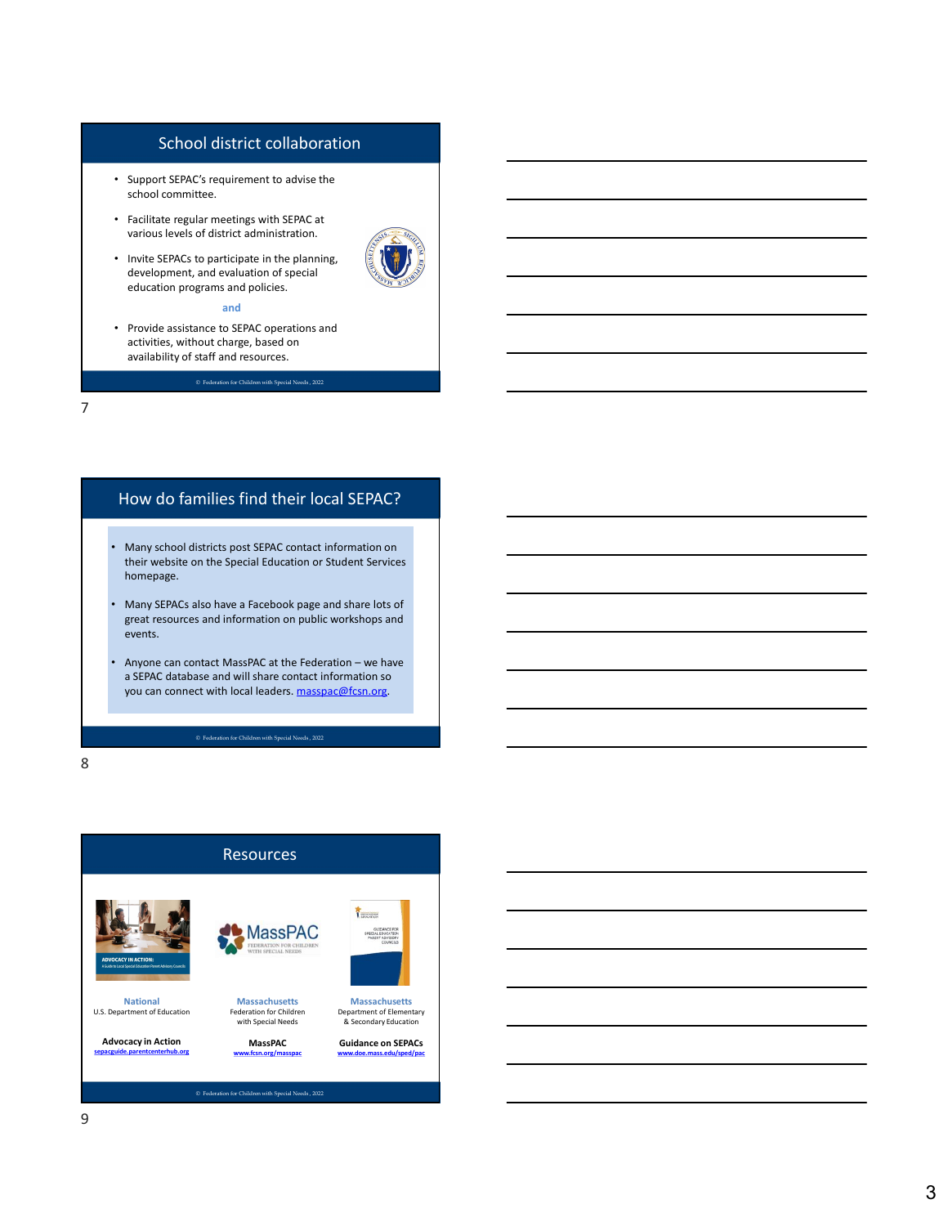## School district collaboration

- Support SEPAC's requirement to advise the school committee.
- Facilitate regular meetings with SEPAC at various levels of district administration.
- Invite SEPACs to participate in the planning, development, and evaluation of special education programs and policies.



• Provide assistance to SEPAC operations and activities, without charge, based on availability of staff and resources.

© Federation for Children with Special Needs , 2022

7

# How do families find their local SEPAC?

- Many school districts post SEPAC contact information on their website on the Special Education or Student Services homepage.
- Many SEPACs also have a Facebook page and share lots of great resources and information on public workshops and events. exergion and evaluation of special<br>•  $\sim$  Provide assistance to SEPAC operations and<br>• activities, without charge, based on<br>• activities, without and recources.<br>• any single-life of statistic materials of the Federation –
- a SEPAC database and will share contact information so you can connect with local leaders. masspac@fcsn.org.

8 and 2010 and 2010 and 2010 and 2010 and 2010 and 2010 and 2010 and 2010 and 2010 and 2010 and 2010 and 2010